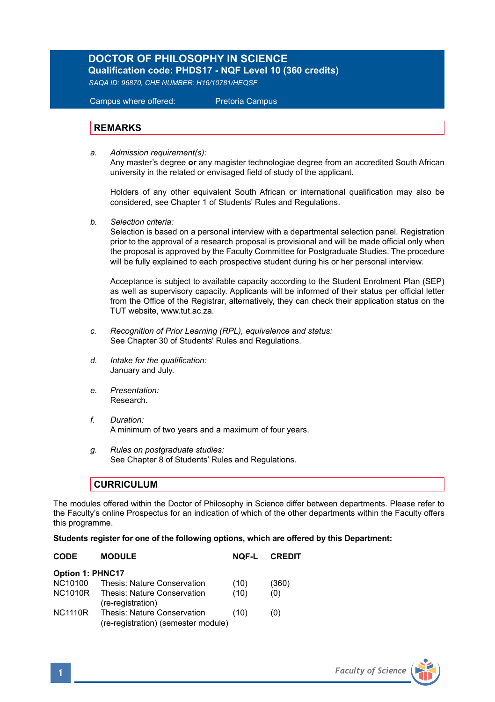# **DOCTOR OF PHILOSOPHY IN SCIENCE**

**Qualification code: PHDS17 - NQF Level 10 (360 credits)** *SAQA ID: 96870, CHE NUMBER: H16/10781/HEQSF*

Campus where offered: Pretoria Campus

#### **REMARKS**

*a. Admission requirement(s):*  Any master's degree **or** any magister technologiae degree from an accredited South African university in the related or envisaged field of study of the applicant.

Holders of any other equivalent South African or international qualification may also be considered, see Chapter 1 of Students' Rules and Regulations.

*b. Selection criteria:*

Selection is based on a personal interview with a departmental selection panel. Registration prior to the approval of a research proposal is provisional and will be made official only when the proposal is approved by the Faculty Committee for Postgraduate Studies. The procedure will be fully explained to each prospective student during his or her personal interview.

Acceptance is subject to available capacity according to the Student Enrolment Plan (SEP) as well as supervisory capacity. Applicants will be informed of their status per official letter from the Office of the Registrar, alternatively, they can check their application status on the TUT website, www.tut.ac.za.

- *c. Recognition of Prior Learning (RPL), equivalence and status:* See Chapter 30 of Students' Rules and Regulations.
- *d. Intake for the qualification:* January and July.
- *e. Presentation:*  Research.
- *f. Duration:* A minimum of two years and a maximum of four years.
- *g. Rules on postgraduate studies:* See Chapter 8 of Students' Rules and Regulations.

### **CURRICULUM**

The modules offered within the Doctor of Philosophy in Science differ between departments. Please refer to the Faculty's online Prospectus for an indication of which of the other departments within the Faculty offers this programme.

#### **Students register for one of the following options, which are offered by this Department:**

| <b>MODULE</b>                                                      | NOF-L | <b>CREDIT</b> |  |  |  |
|--------------------------------------------------------------------|-------|---------------|--|--|--|
| <b>Option 1: PHNC17</b>                                            |       |               |  |  |  |
| <b>Thesis: Nature Conservation</b>                                 | (10)  | (360)         |  |  |  |
| Thesis: Nature Conservation<br>(re-registration)                   | (10)  | (0)           |  |  |  |
| Thesis: Nature Conservation<br>(re-registration) (semester module) | (10)  | (0)           |  |  |  |
|                                                                    |       |               |  |  |  |